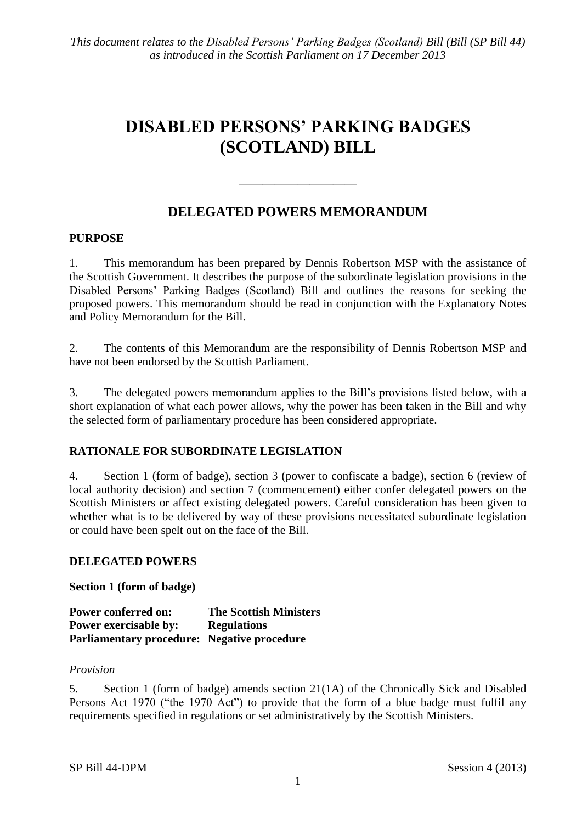# **DISABLED PERSONS' PARKING BADGES (SCOTLAND) BILL**

## **DELEGATED POWERS MEMORANDUM**

 $\frac{1}{\sqrt{2}}$ 

#### **PURPOSE**

1. This memorandum has been prepared by Dennis Robertson MSP with the assistance of the Scottish Government. It describes the purpose of the subordinate legislation provisions in the Disabled Persons' Parking Badges (Scotland) Bill and outlines the reasons for seeking the proposed powers. This memorandum should be read in conjunction with the Explanatory Notes and Policy Memorandum for the Bill.

2. The contents of this Memorandum are the responsibility of Dennis Robertson MSP and have not been endorsed by the Scottish Parliament.

3. The delegated powers memorandum applies to the Bill's provisions listed below, with a short explanation of what each power allows, why the power has been taken in the Bill and why the selected form of parliamentary procedure has been considered appropriate.

### **RATIONALE FOR SUBORDINATE LEGISLATION**

4. Section 1 (form of badge), section 3 (power to confiscate a badge), section 6 (review of local authority decision) and section 7 (commencement) either confer delegated powers on the Scottish Ministers or affect existing delegated powers. Careful consideration has been given to whether what is to be delivered by way of these provisions necessitated subordinate legislation or could have been spelt out on the face of the Bill.

### **DELEGATED POWERS**

**Section 1 (form of badge)**

| <b>Power conferred on:</b>                  | <b>The Scottish Ministers</b> |
|---------------------------------------------|-------------------------------|
| <b>Power exercisable by:</b>                | <b>Regulations</b>            |
| Parliamentary procedure: Negative procedure |                               |

#### *Provision*

5. Section 1 (form of badge) amends section 21(1A) of the Chronically Sick and Disabled Persons Act 1970 ("the 1970 Act") to provide that the form of a blue badge must fulfil any requirements specified in regulations or set administratively by the Scottish Ministers.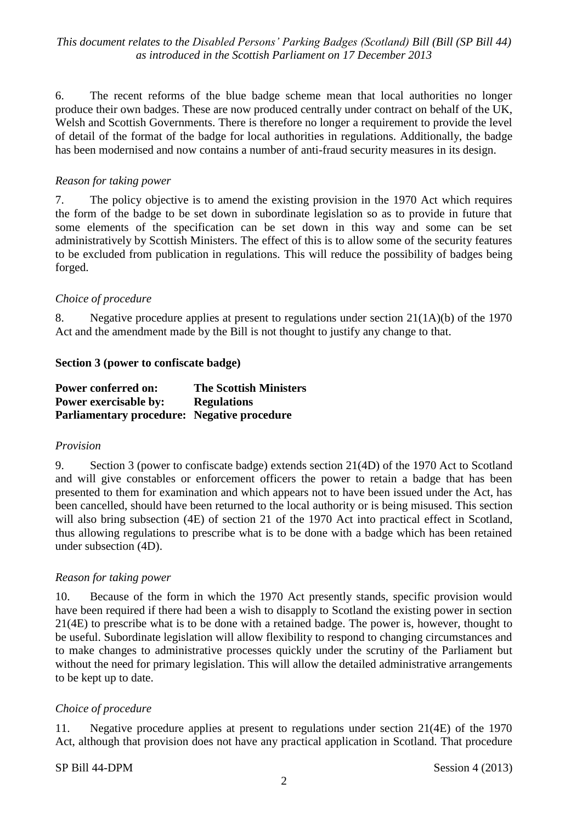*This document relates to the Disabled Persons' Parking Badges (Scotland) Bill (Bill (SP Bill 44) as introduced in the Scottish Parliament on 17 December 2013*

6. The recent reforms of the blue badge scheme mean that local authorities no longer produce their own badges. These are now produced centrally under contract on behalf of the UK, Welsh and Scottish Governments. There is therefore no longer a requirement to provide the level of detail of the format of the badge for local authorities in regulations. Additionally, the badge has been modernised and now contains a number of anti-fraud security measures in its design.

#### *Reason for taking power*

7. The policy objective is to amend the existing provision in the 1970 Act which requires the form of the badge to be set down in subordinate legislation so as to provide in future that some elements of the specification can be set down in this way and some can be set administratively by Scottish Ministers. The effect of this is to allow some of the security features to be excluded from publication in regulations. This will reduce the possibility of badges being forged.

#### *Choice of procedure*

8. Negative procedure applies at present to regulations under section 21(1A)(b) of the 1970 Act and the amendment made by the Bill is not thought to justify any change to that.

#### **Section 3 (power to confiscate badge)**

| <b>Power conferred on:</b>                  | <b>The Scottish Ministers</b> |
|---------------------------------------------|-------------------------------|
| <b>Power exercisable by:</b>                | <b>Regulations</b>            |
| Parliamentary procedure: Negative procedure |                               |

#### *Provision*

9. Section 3 (power to confiscate badge) extends section 21(4D) of the 1970 Act to Scotland and will give constables or enforcement officers the power to retain a badge that has been presented to them for examination and which appears not to have been issued under the Act, has been cancelled, should have been returned to the local authority or is being misused. This section will also bring subsection (4E) of section 21 of the 1970 Act into practical effect in Scotland, thus allowing regulations to prescribe what is to be done with a badge which has been retained under subsection (4D).

#### *Reason for taking power*

10. Because of the form in which the 1970 Act presently stands, specific provision would have been required if there had been a wish to disapply to Scotland the existing power in section 21(4E) to prescribe what is to be done with a retained badge. The power is, however, thought to be useful. Subordinate legislation will allow flexibility to respond to changing circumstances and to make changes to administrative processes quickly under the scrutiny of the Parliament but without the need for primary legislation. This will allow the detailed administrative arrangements to be kept up to date.

#### *Choice of procedure*

11. Negative procedure applies at present to regulations under section 21(4E) of the 1970 Act, although that provision does not have any practical application in Scotland. That procedure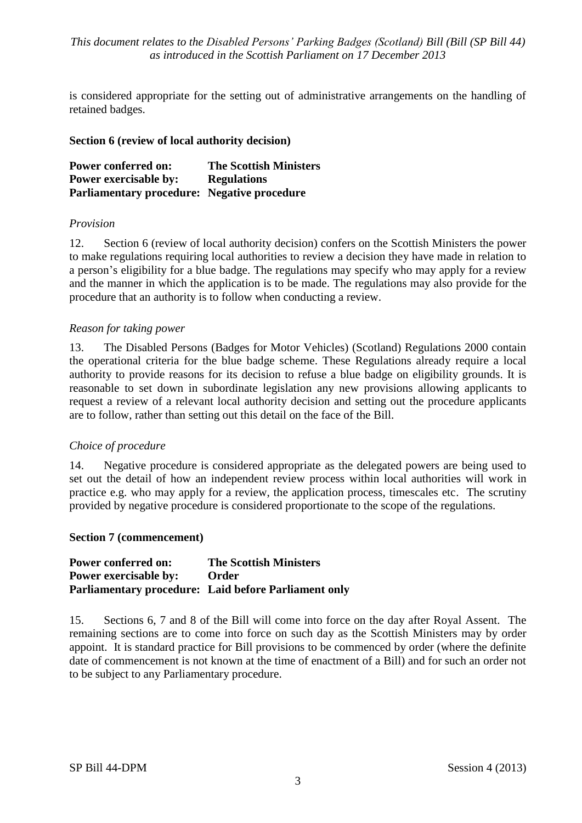*This document relates to the Disabled Persons' Parking Badges (Scotland) Bill (Bill (SP Bill 44) as introduced in the Scottish Parliament on 17 December 2013*

is considered appropriate for the setting out of administrative arrangements on the handling of retained badges.

#### **Section 6 (review of local authority decision)**

**Power conferred on: The Scottish Ministers Power exercisable by: Regulations Parliamentary procedure: Negative procedure**

#### *Provision*

12. Section 6 (review of local authority decision) confers on the Scottish Ministers the power to make regulations requiring local authorities to review a decision they have made in relation to a person's eligibility for a blue badge. The regulations may specify who may apply for a review and the manner in which the application is to be made. The regulations may also provide for the procedure that an authority is to follow when conducting a review.

#### *Reason for taking power*

13. The Disabled Persons (Badges for Motor Vehicles) (Scotland) Regulations 2000 contain the operational criteria for the blue badge scheme. These Regulations already require a local authority to provide reasons for its decision to refuse a blue badge on eligibility grounds. It is reasonable to set down in subordinate legislation any new provisions allowing applicants to request a review of a relevant local authority decision and setting out the procedure applicants are to follow, rather than setting out this detail on the face of the Bill.

#### *Choice of procedure*

14. Negative procedure is considered appropriate as the delegated powers are being used to set out the detail of how an independent review process within local authorities will work in practice e.g. who may apply for a review, the application process, timescales etc. The scrutiny provided by negative procedure is considered proportionate to the scope of the regulations.

#### **Section 7 (commencement)**

| <b>Power conferred on:</b>   | <b>The Scottish Ministers</b>                               |
|------------------------------|-------------------------------------------------------------|
| <b>Power exercisable by:</b> | <b>Order</b>                                                |
|                              | <b>Parliamentary procedure:</b> Laid before Parliament only |

15. Sections 6, 7 and 8 of the Bill will come into force on the day after Royal Assent. The remaining sections are to come into force on such day as the Scottish Ministers may by order appoint. It is standard practice for Bill provisions to be commenced by order (where the definite date of commencement is not known at the time of enactment of a Bill) and for such an order not to be subject to any Parliamentary procedure.